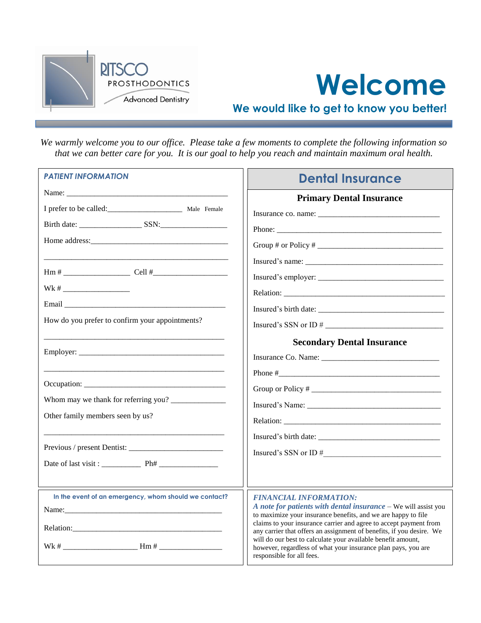



**We would like to get to know you better!**

*We warmly welcome you to our office. Please take a few moments to complete the following information so that we can better care for you. It is our goal to help you reach and maintain maximum oral health.*

| <b>PATIENT INFORMATION</b>                                              | <b>Dental Insurance</b>                                                                                                                                    |  |  |
|-------------------------------------------------------------------------|------------------------------------------------------------------------------------------------------------------------------------------------------------|--|--|
|                                                                         | <b>Primary Dental Insurance</b>                                                                                                                            |  |  |
| I prefer to be called:<br><u>__________________________</u> Male Female |                                                                                                                                                            |  |  |
|                                                                         |                                                                                                                                                            |  |  |
|                                                                         |                                                                                                                                                            |  |  |
|                                                                         | $Insured's name: ____________$                                                                                                                             |  |  |
|                                                                         |                                                                                                                                                            |  |  |
| $Wk # \_$                                                               |                                                                                                                                                            |  |  |
|                                                                         |                                                                                                                                                            |  |  |
| How do you prefer to confirm your appointments?                         |                                                                                                                                                            |  |  |
|                                                                         | <b>Secondary Dental Insurance</b>                                                                                                                          |  |  |
|                                                                         |                                                                                                                                                            |  |  |
|                                                                         |                                                                                                                                                            |  |  |
|                                                                         |                                                                                                                                                            |  |  |
|                                                                         |                                                                                                                                                            |  |  |
| Other family members seen by us?                                        |                                                                                                                                                            |  |  |
|                                                                         |                                                                                                                                                            |  |  |
|                                                                         |                                                                                                                                                            |  |  |
| Date of last visit: Ph#                                                 |                                                                                                                                                            |  |  |
|                                                                         |                                                                                                                                                            |  |  |
| In the event of an emergency, whom should we contact?                   | <b>FINANCIAL INFORMATION:</b>                                                                                                                              |  |  |
| Name:                                                                   | A note for patients with dental insurance - We will assist you<br>to maximize your insurance benefits, and we are happy to file                            |  |  |
|                                                                         | claims to your insurance carrier and agree to accept payment from<br>any carrier that offers an assignment of benefits, if you desire. We                  |  |  |
| $Wk # \_$                                                               | will do our best to calculate your available benefit amount,<br>however, regardless of what your insurance plan pays, you are<br>responsible for all fees. |  |  |